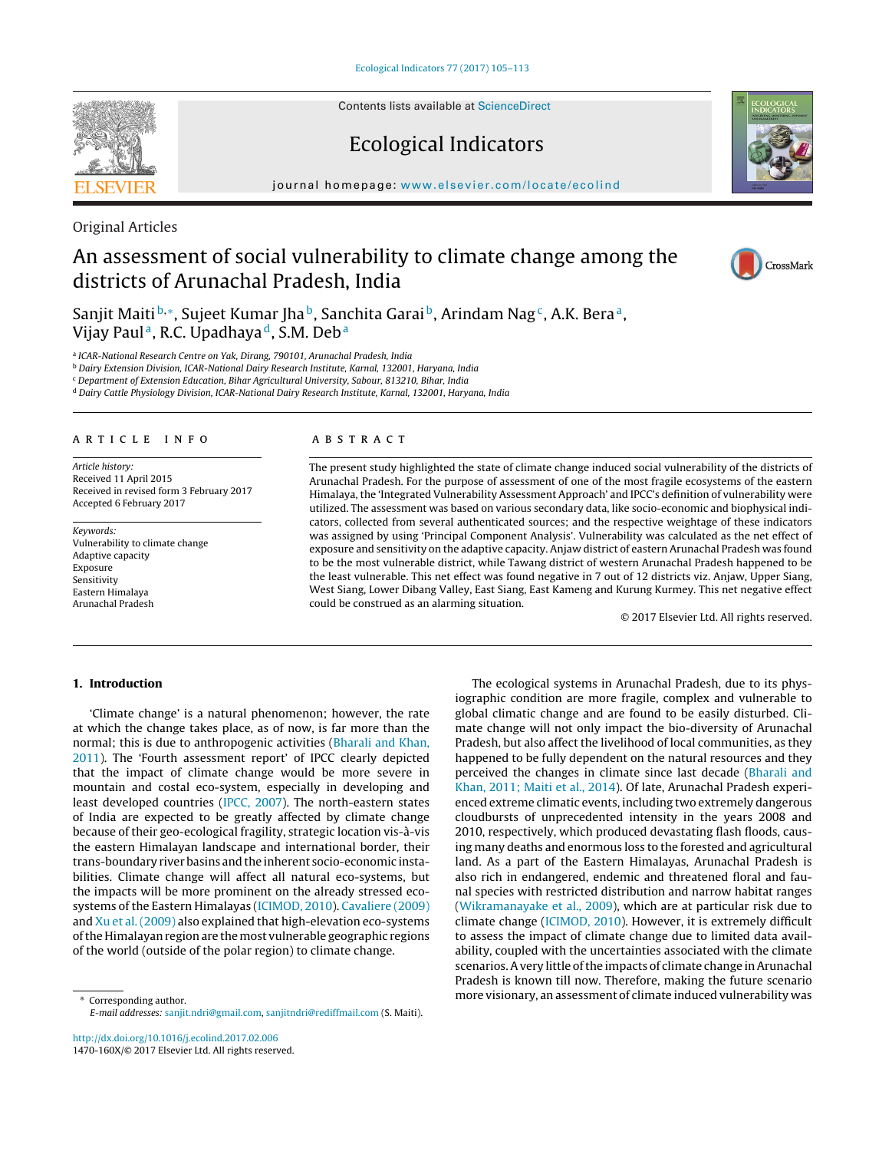Contents lists available at [ScienceDirect](http://www.sciencedirect.com/science/journal/1470160X)

# Ecological Indicators

iournal homepage: [www.elsevier.com/locate/ecolind](http://www.elsevier.com/locate/ecolind)

Original Articles

# An assessment of social vulnerability to climate change among the districts of Arunachal Pradesh, India

Sanjit Maiti b,\*, Sujeet Kumar Jha b, Sanchita Garai b, Arindam Nag<sup>c</sup>, A.K. Bera<sup>a</sup>, Vijay Paul<sup>a</sup>, R.C. Upadhaya<sup>d</sup>, S.M. Deb<sup>a</sup>

<sup>a</sup> ICAR-National Research Centre on Yak, Dirang, 790101, Arunachal Pradesh, India

<sup>b</sup> Dairy Extension Division, ICAR-National Dairy Research Institute, Karnal, 132001, Haryana, India

 $\epsilon$  Department of Extension Education, Bihar Agricultural University, Sabour, 813210, Bihar, India <sup>d</sup> Dairy Cattle Physiology Division, ICAR-National Dairy Research Institute, Karnal, 132001, Haryana, India

#### ARTICLE INFO

Article history: Received 11 April 2015 Received in revised form 3 February 2017 Accepted 6 February 2017

Keywords: Vulnerability to climate change Adaptive capacity Exposure Sensitivity Eastern Himalaya Arunachal Pradesh

## a b s t r a c t

The present study highlighted the state of climate change induced social vulnerability of the districts of Arunachal Pradesh. For the purpose of assessment of one of the most fragile ecosystems of the eastern Himalaya, the 'Integrated Vulnerability Assessment Approach' and IPCC's definition of vulnerability were utilized. The assessment was based on various secondary data, like socio-economic and biophysical indicators, collected from several authenticated sources; and the respective weightage of these indicators was assigned by using 'Principal Component Analysis'. Vulnerability was calculated as the net effect of exposure and sensitivity on the adaptive capacity. Anjaw district of eastern Arunachal Pradesh was found to be the most vulnerable district, while Tawang district of western Arunachal Pradesh happened to be the least vulnerable. This net effect was found negative in 7 out of 12 districts viz. Anjaw, Upper Siang, West Siang, Lower Dibang Valley, East Siang, East Kameng and Kurung Kurmey. This net negative effect could be construed as an alarming situation.

© 2017 Elsevier Ltd. All rights reserved.

# **1. Introduction**

'Climate change' is a natural phenomenon; however, the rate at which the change takes place, as of now, is far more than the normal; this is due to anthropogenic activities [\(Bharali](#page--1-0) [and](#page--1-0) [Khan,](#page--1-0) [2011\).](#page--1-0) The 'Fourth assessment report' of IPCC clearly depicted that the impact of climate change would be more severe in mountain and costal eco-system, especially in developing and least developed countries ([IPCC,](#page--1-0) [2007\).](#page--1-0) The north-eastern states of India are expected to be greatly affected by climate change because of their geo-ecological fragility, strategic location vis-à-vis the eastern Himalayan landscape and international border, their trans-boundary river basins andthe inherent socio-economic instabilities. Climate change will affect all natural eco-systems, but the impacts will be more prominent on the already stressed ecosystems of the Eastern Himalayas [\(ICIMOD,](#page--1-0) [2010\).](#page--1-0) [Cavaliere](#page--1-0) [\(2009\)](#page--1-0) and [Xu](#page--1-0) et [al.](#page--1-0) [\(2009\)](#page--1-0) also explained that high-elevation eco-systems of the Himalayan region are the most vulnerable geographic regions of the world (outside of the polar region) to climate change.

∗ Corresponding author. E-mail addresses: [sanjit.ndri@gmail.com,](mailto:sanjit.ndri@gmail.com) [sanjitndri@rediffmail.com](mailto:sanjitndri@rediffmail.com) (S. Maiti).

[http://dx.doi.org/10.1016/j.ecolind.2017.02.006](dx.doi.org/10.1016/j.ecolind.2017.02.006) 1470-160X/© 2017 Elsevier Ltd. All rights reserved.

The ecological systems in Arunachal Pradesh, due to its physiographic condition are more fragile, complex and vulnerable to global climatic change and are found to be easily disturbed. Climate change will not only impact the bio-diversity of Arunachal Pradesh, but also affect the livelihood of local communities, as they happened to be fully dependent on the natural resources and they perceived the changes in climate since last decade [\(Bharali](#page--1-0) [and](#page--1-0) [Khan,](#page--1-0) [2011;](#page--1-0) [Maiti](#page--1-0) et [al.,](#page--1-0) [2014\).](#page--1-0) Of late, Arunachal Pradesh experienced extreme climatic events, including two extremely dangerous cloudbursts of unprecedented intensity in the years 2008 and 2010, respectively, which produced devastating flash floods, causing many deaths and enormous loss to the forested and agricultural land. As a part of the Eastern Himalayas, Arunachal Pradesh is also rich in endangered, endemic and threatened floral and faunal species with restricted distribution and narrow habitat ranges [\(Wikramanayake](#page--1-0) et [al.,](#page--1-0) [2009\),](#page--1-0) which are at particular risk due to climate change ([ICIMOD,](#page--1-0) [2010\).](#page--1-0) However, it is extremely difficult to assess the impact of climate change due to limited data availability, coupled with the uncertainties associated with the climate scenarios. A very little of the impacts of climate change in Arunachal Pradesh is known till now. Therefore, making the future scenario more visionary, an assessment of climate induced vulnerability was





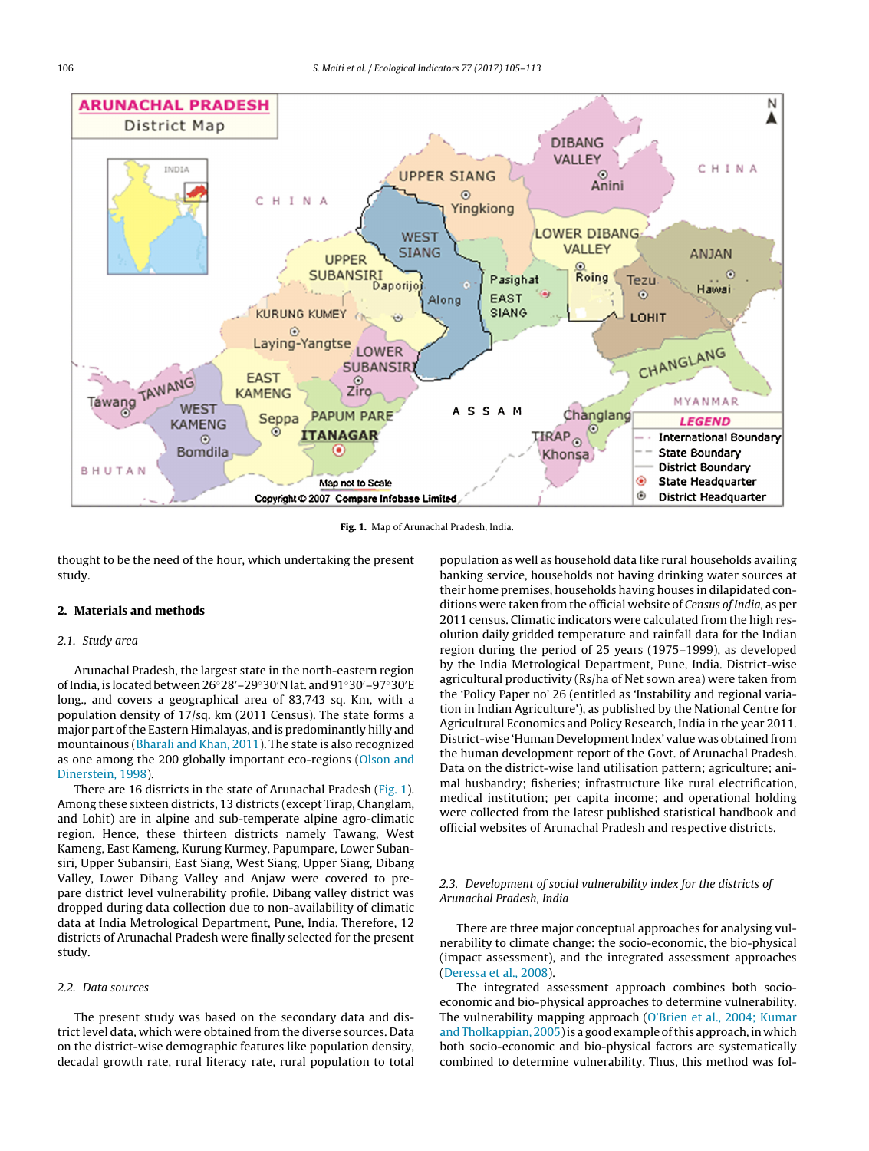

**Fig. 1.** Map of Arunachal Pradesh, India.

thought to be the need of the hour, which undertaking the present study.

#### **2. Materials and methods**

#### 2.1. Study area

Arunachal Pradesh, the largest state in the north-eastern region of India, is located between 26°28′–29°30′N lat. and 91°30′–97°30′E long., and covers a geographical area of 83,743 sq. Km, with a population density of 17/sq. km (2011 Census). The state forms a major part of the Eastern Himalayas, and is predominantly hilly and mountainous [\(Bharali](#page--1-0) [and](#page--1-0) [Khan,](#page--1-0) [2011\).](#page--1-0) The state is also recognized as one among the 200 globally important eco-regions ([Olson](#page--1-0) [and](#page--1-0) [Dinerstein,](#page--1-0) [1998\).](#page--1-0)

There are 16 districts in the state of Arunachal Pradesh (Fig. 1). Among these sixteen districts, 13 districts (except Tirap, Changlam, and Lohit) are in alpine and sub-temperate alpine agro-climatic region. Hence, these thirteen districts namely Tawang, West Kameng, East Kameng, Kurung Kurmey, Papumpare, Lower Subansiri, Upper Subansiri, East Siang, West Siang, Upper Siang, Dibang Valley, Lower Dibang Valley and Anjaw were covered to prepare district level vulnerability profile. Dibang valley district was dropped during data collection due to non-availability of climatic data at India Metrological Department, Pune, India. Therefore, 12 districts of Arunachal Pradesh were finally selected for the present study.

## 2.2. Data sources

The present study was based on the secondary data and district level data, which were obtained from the diverse sources. Data on the district-wise demographic features like population density, decadal growth rate, rural literacy rate, rural population to total

population as well as household data like rural households availing banking service, households not having drinking water sources at their home premises, households having houses in dilapidated conditions were taken from the official website of Census of India, as per 2011 census. Climatic indicators were calculated from the high resolution daily gridded temperature and rainfall data for the Indian region during the period of 25 years (1975–1999), as developed by the India Metrological Department, Pune, India. District-wise agricultural productivity (Rs/ha of Net sown area) were taken from the 'Policy Paper no' 26 (entitled as 'Instability and regional variation in Indian Agriculture'), as published by the National Centre for Agricultural Economics and Policy Research, India in the year 2011. District-wise 'Human Development Index' value was obtained from the human development report of the Govt. of Arunachal Pradesh. Data on the district-wise land utilisation pattern; agriculture; animal husbandry; fisheries; infrastructure like rural electrification, medical institution; per capita income; and operational holding were collected from the latest published statistical handbook and official websites of Arunachal Pradesh and respective districts.

## 2.3. Development of social vulnerability index for the districts of Arunachal Pradesh, India

There are three major conceptual approaches for analysing vulnerability to climate change: the socio-economic, the bio-physical (impact assessment), and the integrated assessment approaches [\(Deressa](#page--1-0) et [al.,](#page--1-0) [2008\).](#page--1-0)

The integrated assessment approach combines both socioeconomic and bio-physical approaches to determine vulnerability. The vulnerability mapping approach ([O'Brien](#page--1-0) et [al.,](#page--1-0) [2004;](#page--1-0) [Kumar](#page--1-0) and Tholkappian, 2005) is a good example of this approach, in which both socio-economic and bio-physical factors are systematically combined to determine vulnerability. Thus, this method was fol-